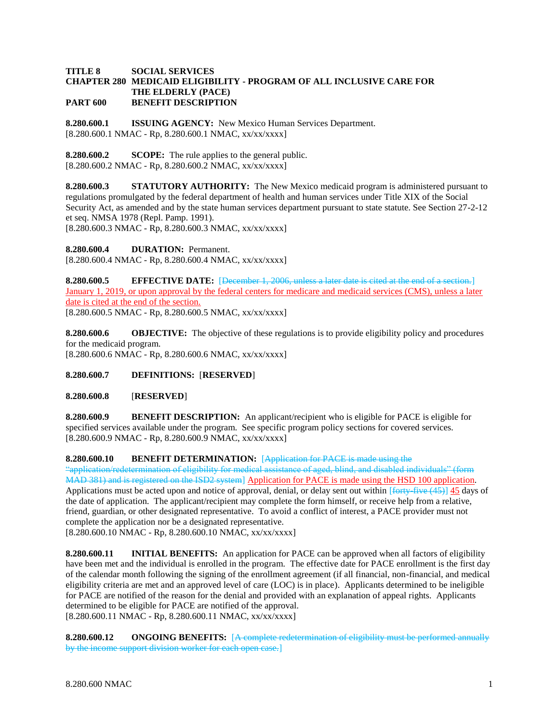## **TITLE 8 SOCIAL SERVICES CHAPTER 280 MEDICAID ELIGIBILITY - PROGRAM OF ALL INCLUSIVE CARE FOR THE ELDERLY (PACE) PART 600 BENEFIT DESCRIPTION**

**8.280.600.1 ISSUING AGENCY:** New Mexico Human Services Department. [8.280.600.1 NMAC - Rp, 8.280.600.1 NMAC, xx/xx/xxxx]

**8.280.600.2 SCOPE:** The rule applies to the general public.  $[8.280.600.2 NMAC - Rp, 8.280.600.2 NMAC, xx/xx/xxx]$ 

**8.280.600.3 STATUTORY AUTHORITY:** The New Mexico medicaid program is administered pursuant to regulations promulgated by the federal department of health and human services under Title XIX of the Social Security Act, as amended and by the state human services department pursuant to state statute. See Section 27-2-12 et seq. NMSA 1978 (Repl. Pamp. 1991).

[8.280.600.3 NMAC - Rp, 8.280.600.3 NMAC, xx/xx/xxxx]

**8.280.600.4 DURATION:** Permanent.

[8.280.600.4 NMAC - Rp, 8.280.600.4 NMAC, xx/xx/xxxx]

**8.280.600.5 EFFECTIVE DATE:** [December 1, 2006, unless a later date is cited at the end of a section.] January 1, 2019, or upon approval by the federal centers for medicare and medicaid services (CMS), unless a later date is cited at the end of the section. [8.280.600.5 NMAC - Rp, 8.280.600.5 NMAC, xx/xx/xxxx]

**8.280.600.6 OBJECTIVE:** The objective of these regulations is to provide eligibility policy and procedures for the medicaid program. [8.280.600.6 NMAC - Rp, 8.280.600.6 NMAC, xx/xx/xxxx]

**8.280.600.7 DEFINITIONS:** [**RESERVED**]

**8.280.600.8** [**RESERVED**]

**8.280.600.9 BENEFIT DESCRIPTION:** An applicant/recipient who is eligible for PACE is eligible for specified services available under the program. See specific program policy sections for covered services. [8.280.600.9 NMAC - Rp, 8.280.600.9 NMAC, xx/xx/xxxx]

**8.280.600.10 BENEFIT DETERMINATION:** [Application for PACE is made using the

"application/redetermination of eligibility for medical assistance of aged, blind, and disabled individuals" (form MAD 381) and is registered on the ISD2 system] Application for PACE is made using the HSD 100 application. Applications must be acted upon and notice of approval, denial, or delay sent out within  $\left[ \frac{\text{fott}}{\text{fott}} \frac{\text{fott}}{\text{fwt}} \right]$  45 days of the date of application. The applicant/recipient may complete the form himself, or receive help from a relative, friend, guardian, or other designated representative. To avoid a conflict of interest, a PACE provider must not complete the application nor be a designated representative.

[8.280.600.10 NMAC - Rp, 8.280.600.10 NMAC, xx/xx/xxxx]

**8.280.600.11 INITIAL BENEFITS:** An application for PACE can be approved when all factors of eligibility have been met and the individual is enrolled in the program. The effective date for PACE enrollment is the first day of the calendar month following the signing of the enrollment agreement (if all financial, non-financial, and medical eligibility criteria are met and an approved level of care (LOC) is in place). Applicants determined to be ineligible for PACE are notified of the reason for the denial and provided with an explanation of appeal rights. Applicants determined to be eligible for PACE are notified of the approval. [8.280.600.11 NMAC - Rp, 8.280.600.11 NMAC, xx/xx/xxxx]

**8.280.600.12 ONGOING BENEFITS:** [A complete redetermination of eligibility must be performed annually by the income support division worker for each open case.]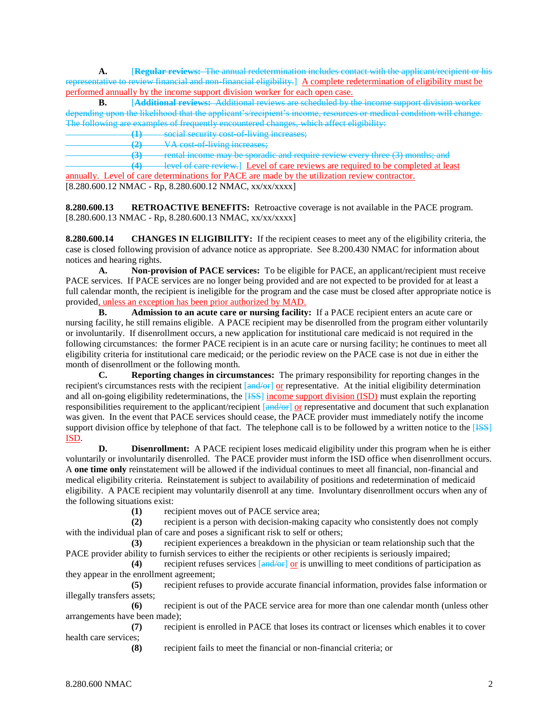**A.** [**Regular reviews:** The annual redetermination includes contact with the applicant/recipient or his representative to review financial and non-financial eligibility.] A complete redetermination of eligibility must be performed annually by the income support division worker for each open case.

**B.** [**Additional reviews:** Additional reviews are scheduled by the income support division worker depending upon the likelihood that the applicant's/recipient's income, resources or medical condition will change. The following are examples of frequently encountered changes, which affect eligibility:

**(1)** social security cost-of-living increases;

**(2)** VA cost-of-living increases;

**(3)** rental income may be sporadic and require review every three (3) months; and

**(4)** level of care review.] Level of care reviews are required to be completed at least annually. Level of care determinations for PACE are made by the utilization review contractor.

 $[8.280.600.12 \text{ NMAC} - \text{Rp}, 8.280.600.12 \text{ NMAC}, xx/xxxxx]$ 

**8.280.600.13 RETROACTIVE BENEFITS:** Retroactive coverage is not available in the PACE program. [8.280.600.13 NMAC - Rp, 8.280.600.13 NMAC, xx/xx/xxxx]

**8.280.600.14 CHANGES IN ELIGIBILITY:** If the recipient ceases to meet any of the eligibility criteria, the case is closed following provision of advance notice as appropriate. See 8.200.430 NMAC for information about notices and hearing rights.

**A. Non-provision of PACE services:** To be eligible for PACE, an applicant/recipient must receive PACE services. If PACE services are no longer being provided and are not expected to be provided for at least a full calendar month, the recipient is ineligible for the program and the case must be closed after appropriate notice is provided<u>, unless an exception has been prior authorized by MAD.</u><br>**B.** Admission to an acute care or nursing facility

**B. Admission to an acute care or nursing facility:** If a PACE recipient enters an acute care or nursing facility, he still remains eligible. A PACE recipient may be disenrolled from the program either voluntarily or involuntarily. If disenrollment occurs, a new application for institutional care medicaid is not required in the following circumstances: the former PACE recipient is in an acute care or nursing facility; he continues to meet all eligibility criteria for institutional care medicaid; or the periodic review on the PACE case is not due in either the month of disenrollment or the following month.

**C. Reporting changes in circumstances:** The primary responsibility for reporting changes in the recipient's circumstances rests with the recipient  $\left[\frac{and}{on}\right]$  or representative. At the initial eligibility determination and all on-going eligibility redeterminations, the [HSS] income support division (ISD) must explain the reporting responsibilities requirement to the applicant/recipient  $\left[\frac{and}{or}\right]$  or representative and document that such explanation was given. In the event that PACE services should cease, the PACE provider must immediately notify the income support division office by telephone of that fact. The telephone call is to be followed by a written notice to the [ISS] ISD.

**D. Disenrollment:** A PACE recipient loses medicaid eligibility under this program when he is either voluntarily or involuntarily disenrolled. The PACE provider must inform the ISD office when disenrollment occurs. A **one time only** reinstatement will be allowed if the individual continues to meet all financial, non-financial and medical eligibility criteria. Reinstatement is subject to availability of positions and redetermination of medicaid eligibility. A PACE recipient may voluntarily disenroll at any time. Involuntary disenrollment occurs when any of the following situations exist:

**(1)** recipient moves out of PACE service area;

**(2)** recipient is a person with decision-making capacity who consistently does not comply with the individual plan of care and poses a significant risk to self or others;

**(3)** recipient experiences a breakdown in the physician or team relationship such that the PACE provider ability to furnish services to either the recipients or other recipients is seriously impaired;

**(4)** recipient refuses services [and/or] or is unwilling to meet conditions of participation as they appear in the enrollment agreement;

**(5)** recipient refuses to provide accurate financial information, provides false information or illegally transfers assets;

**(6)** recipient is out of the PACE service area for more than one calendar month (unless other arrangements have been made);

**(7)** recipient is enrolled in PACE that loses its contract or licenses which enables it to cover health care services;

**(8)** recipient fails to meet the financial or non-financial criteria; or